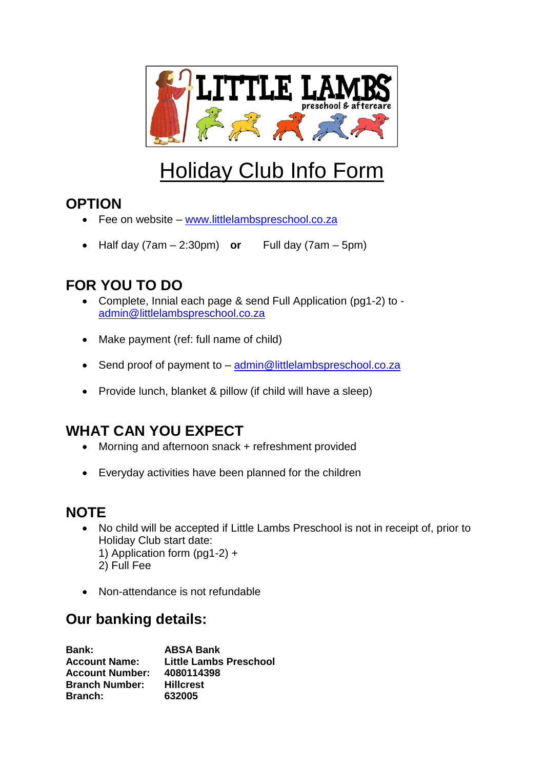

# Holiday Club Info Form

## **OPTION**

- Fee on website [www.littlelambspreschool.co.za](http://www.littlelambspreschool.co.za/)
- Half day  $(7am 2:30pm)$  or Full day  $(7am 5pm)$

# **FOR YOU TO DO**

- Complete, Innial each page & send Full Application (pg1-2) to [admin@littlelambspreschool.co.za](mailto:admin@littlelambspreschool.co.za)
- Make payment (ref: full name of child)
- Send proof of payment to [admin@littlelambspreschool.co.za](mailto:admin@littlelambspreschool.co.za)
- Provide lunch, blanket & pillow (if child will have a sleep)

# **WHAT CAN YOU EXPECT**

- Morning and afternoon snack + refreshment provided
- Everyday activities have been planned for the children

### **NOTE**

- No child will be accepted if Little Lambs Preschool is not in receipt of, prior to Holiday Club start date: 1) Application form (pg1-2) + 2) Full Fee
- Non-attendance is not refundable

### **Our banking details:**

| <b>Bank:</b>           | <b>ABSA Bank</b>       |
|------------------------|------------------------|
| <b>Account Name:</b>   | Little Lambs Preschool |
| <b>Account Number:</b> | 4080114398             |
| <b>Branch Number:</b>  | <b>Hillcrest</b>       |
| <b>Branch:</b>         | 632005                 |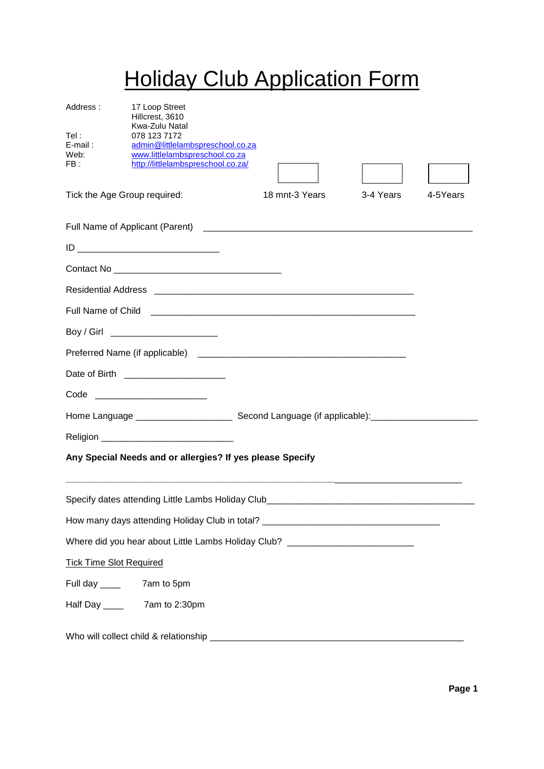# **Holiday Club Application Form**

| Address:<br>Tel :<br>$E$ -mail:<br>Web:<br>FB: | 17 Loop Street<br>Hillcrest, 3610<br>Kwa-Zulu Natal<br>078 123 7172<br>admin@littlelambspreschool.co.za<br>www.littlelambspreschool.co.za<br>http://littlelambspreschool.co.za/ |                |           |          |
|------------------------------------------------|---------------------------------------------------------------------------------------------------------------------------------------------------------------------------------|----------------|-----------|----------|
| Tick the Age Group required:                   |                                                                                                                                                                                 | 18 mnt-3 Years | 3-4 Years | 4-5Years |
|                                                |                                                                                                                                                                                 |                |           |          |
|                                                |                                                                                                                                                                                 |                |           |          |
|                                                |                                                                                                                                                                                 |                |           |          |
|                                                |                                                                                                                                                                                 |                |           |          |
|                                                |                                                                                                                                                                                 |                |           |          |
|                                                | Boy / Girl _________________________                                                                                                                                            |                |           |          |
|                                                |                                                                                                                                                                                 |                |           |          |
|                                                | Date of Birth ______________________                                                                                                                                            |                |           |          |
|                                                | Code __________________________                                                                                                                                                 |                |           |          |
|                                                |                                                                                                                                                                                 |                |           |          |
|                                                |                                                                                                                                                                                 |                |           |          |
|                                                | Any Special Needs and or allergies? If yes please Specify                                                                                                                       |                |           |          |
|                                                | Specify dates attending Little Lambs Holiday Club________________________________                                                                                               |                |           |          |
|                                                | How many days attending Holiday Club in total? __________________________________                                                                                               |                |           |          |
|                                                | Where did you hear about Little Lambs Holiday Club? ____________________________                                                                                                |                |           |          |
| <b>Tick Time Slot Required</b>                 |                                                                                                                                                                                 |                |           |          |
|                                                |                                                                                                                                                                                 |                |           |          |
|                                                |                                                                                                                                                                                 |                |           |          |
|                                                |                                                                                                                                                                                 |                |           |          |